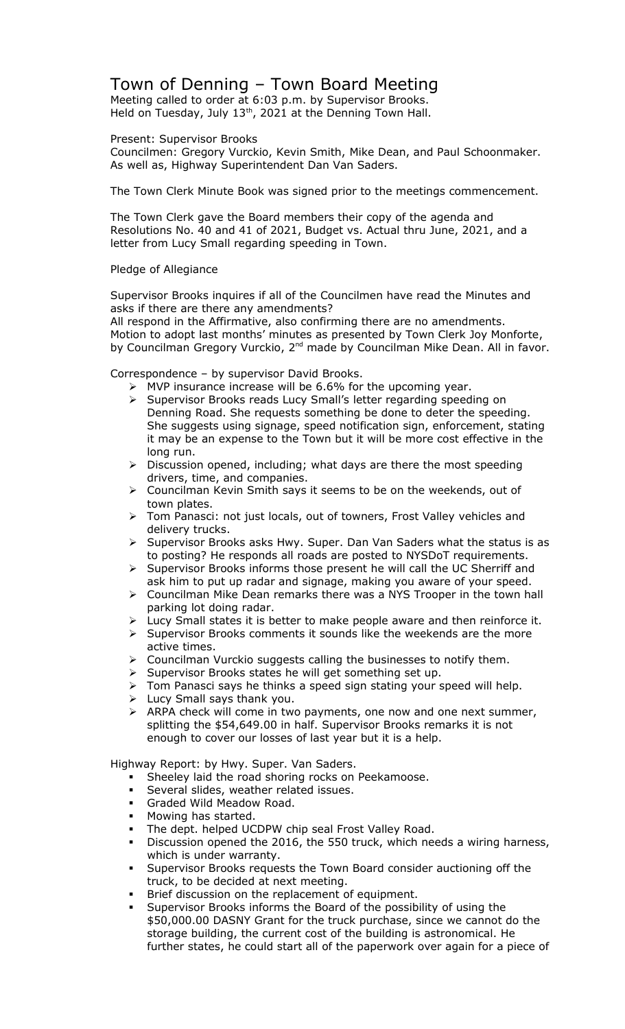## Town of Denning – Town Board Meeting

Meeting called to order at 6:03 p.m. by Supervisor Brooks. Held on Tuesday, July  $13<sup>th</sup>$ , 2021 at the Denning Town Hall.

Present: Supervisor Brooks

Councilmen: Gregory Vurckio, Kevin Smith, Mike Dean, and Paul Schoonmaker. As well as, Highway Superintendent Dan Van Saders.

The Town Clerk Minute Book was signed prior to the meetings commencement.

The Town Clerk gave the Board members their copy of the agenda and Resolutions No. 40 and 41 of 2021, Budget vs. Actual thru June, 2021, and a letter from Lucy Small regarding speeding in Town.

## Pledge of Allegiance

Supervisor Brooks inquires if all of the Councilmen have read the Minutes and asks if there are there any amendments?

All respond in the Affirmative, also confirming there are no amendments. Motion to adopt last months' minutes as presented by Town Clerk Joy Monforte, by Councilman Gregory Vurckio, 2<sup>nd</sup> made by Councilman Mike Dean. All in favor.

Correspondence – by supervisor David Brooks.

- $\triangleright$  MVP insurance increase will be 6.6% for the upcoming year.
- > Supervisor Brooks reads Lucy Small's letter regarding speeding on Denning Road. She requests something be done to deter the speeding. She suggests using signage, speed notification sign, enforcement, stating it may be an expense to the Town but it will be more cost effective in the long run.
- $\triangleright$  Discussion opened, including; what days are there the most speeding drivers, time, and companies.
- Councilman Kevin Smith says it seems to be on the weekends, out of town plates.
- > Tom Panasci: not just locals, out of towners, Frost Valley vehicles and delivery trucks.
- $\triangleright$  Supervisor Brooks asks Hwy. Super. Dan Van Saders what the status is as to posting? He responds all roads are posted to NYSDoT requirements.
- Supervisor Brooks informs those present he will call the UC Sherriff and ask him to put up radar and signage, making you aware of your speed.
- Councilman Mike Dean remarks there was a NYS Trooper in the town hall parking lot doing radar.
- $\triangleright$  Lucy Small states it is better to make people aware and then reinforce it.
- $\triangleright$  Supervisor Brooks comments it sounds like the weekends are the more active times.
- Councilman Vurckio suggests calling the businesses to notify them.
- $\triangleright$  Supervisor Brooks states he will get something set up.
- Tom Panasci says he thinks a speed sign stating your speed will help.
- $\triangleright$  Lucy Small says thank you.
- > ARPA check will come in two payments, one now and one next summer, splitting the \$54,649.00 in half. Supervisor Brooks remarks it is not enough to cover our losses of last year but it is a help.

Highway Report: by Hwy. Super. Van Saders.

- Sheeley laid the road shoring rocks on Peekamoose.
- Several slides, weather related issues.
- **Graded Wild Meadow Road.**
- Mowing has started.
- The dept. helped UCDPW chip seal Frost Valley Road.
- Discussion opened the 2016, the 550 truck, which needs a wiring harness, which is under warranty.
- Supervisor Brooks requests the Town Board consider auctioning off the truck, to be decided at next meeting.
- Brief discussion on the replacement of equipment.
- Supervisor Brooks informs the Board of the possibility of using the \$50,000.00 DASNY Grant for the truck purchase, since we cannot do the storage building, the current cost of the building is astronomical. He further states, he could start all of the paperwork over again for a piece of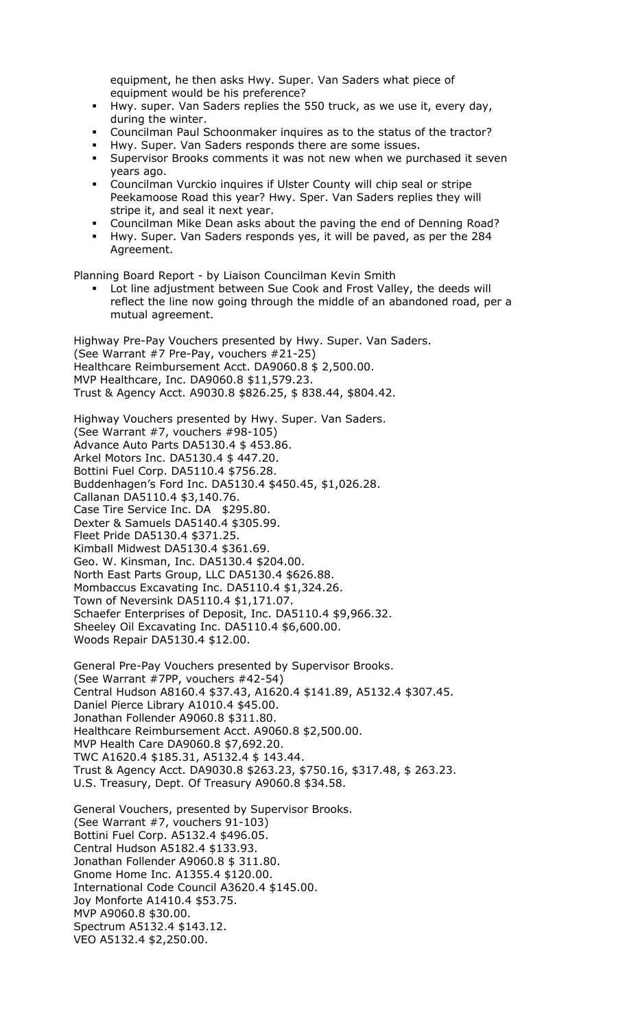equipment, he then asks Hwy. Super. Van Saders what piece of equipment would be his preference?

- Hwy. super. Van Saders replies the 550 truck, as we use it, every day, during the winter.
- Councilman Paul Schoonmaker inquires as to the status of the tractor?
- Hwy. Super. Van Saders responds there are some issues.
- Supervisor Brooks comments it was not new when we purchased it seven years ago.
- Councilman Vurckio inquires if Ulster County will chip seal or stripe Peekamoose Road this year? Hwy. Sper. Van Saders replies they will stripe it, and seal it next year.
- Councilman Mike Dean asks about the paving the end of Denning Road?
- Hwy. Super. Van Saders responds yes, it will be paved, as per the 284 Agreement.

Planning Board Report - by Liaison Councilman Kevin Smith

 Lot line adjustment between Sue Cook and Frost Valley, the deeds will reflect the line now going through the middle of an abandoned road, per a mutual agreement.

Highway Pre-Pay Vouchers presented by Hwy. Super. Van Saders. (See Warrant #7 Pre-Pay, vouchers #21-25) Healthcare Reimbursement Acct. DA9060.8 \$ 2,500.00. MVP Healthcare, Inc. DA9060.8 \$11,579.23. Trust & Agency Acct. A9030.8 \$826.25, \$ 838.44, \$804.42.

Highway Vouchers presented by Hwy. Super. Van Saders. (See Warrant #7, vouchers #98-105) Advance Auto Parts DA5130.4 \$ 453.86. Arkel Motors Inc. DA5130.4 \$ 447.20. Bottini Fuel Corp. DA5110.4 \$756.28. Buddenhagen's Ford Inc. DA5130.4 \$450.45, \$1,026.28. Callanan DA5110.4 \$3,140.76. Case Tire Service Inc. DA \$295.80. Dexter & Samuels DA5140.4 \$305.99. Fleet Pride DA5130.4 \$371.25. Kimball Midwest DA5130.4 \$361.69. Geo. W. Kinsman, Inc. DA5130.4 \$204.00. North East Parts Group, LLC DA5130.4 \$626.88. Mombaccus Excavating Inc. DA5110.4 \$1,324.26. Town of Neversink DA5110.4 \$1,171.07. Schaefer Enterprises of Deposit, Inc. DA5110.4 \$9,966.32. Sheeley Oil Excavating Inc. DA5110.4 \$6,600.00. Woods Repair DA5130.4 \$12.00.

General Pre-Pay Vouchers presented by Supervisor Brooks. (See Warrant #7PP, vouchers #42-54) Central Hudson A8160.4 \$37.43, A1620.4 \$141.89, A5132.4 \$307.45. Daniel Pierce Library A1010.4 \$45.00. Jonathan Follender A9060.8 \$311.80. Healthcare Reimbursement Acct. A9060.8 \$2,500.00. MVP Health Care DA9060.8 \$7,692.20. TWC A1620.4 \$185.31, A5132.4 \$ 143.44. Trust & Agency Acct. DA9030.8 \$263.23, \$750.16, \$317.48, \$ 263.23. U.S. Treasury, Dept. Of Treasury A9060.8 \$34.58.

General Vouchers, presented by Supervisor Brooks. (See Warrant #7, vouchers 91-103) Bottini Fuel Corp. A5132.4 \$496.05. Central Hudson A5182.4 \$133.93. Jonathan Follender A9060.8 \$ 311.80. Gnome Home Inc. A1355.4 \$120.00. International Code Council A3620.4 \$145.00. Joy Monforte A1410.4 \$53.75. MVP A9060.8 \$30.00. Spectrum A5132.4 \$143.12. VEO A5132.4 \$2,250.00.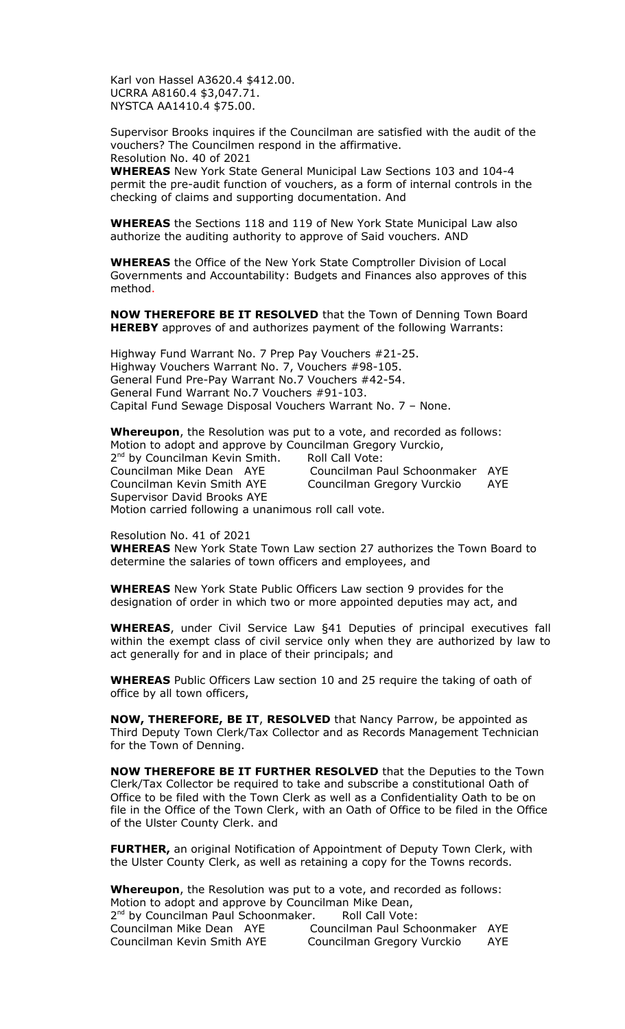Karl von Hassel A3620.4 \$412.00. UCRRA A8160.4 \$3,047.71. NYSTCA AA1410.4 \$75.00.

Supervisor Brooks inquires if the Councilman are satisfied with the audit of the vouchers? The Councilmen respond in the affirmative. Resolution No. 40 of 2021

**WHEREAS** New York State General Municipal Law Sections 103 and 104-4 permit the pre-audit function of vouchers, as a form of internal controls in the checking of claims and supporting documentation. And

**WHEREAS** the Sections 118 and 119 of New York State Municipal Law also authorize the auditing authority to approve of Said vouchers. AND

**WHEREAS** the Office of the New York State Comptroller Division of Local Governments and Accountability: Budgets and Finances also approves of this method.

**NOW THEREFORE BE IT RESOLVED** that the Town of Denning Town Board **HEREBY** approves of and authorizes payment of the following Warrants:

Highway Fund Warrant No. 7 Prep Pay Vouchers #21-25. Highway Vouchers Warrant No. 7, Vouchers #98-105. General Fund Pre-Pay Warrant No.7 Vouchers #42-54. General Fund Warrant No.7 Vouchers #91-103. Capital Fund Sewage Disposal Vouchers Warrant No. 7 – None.

**Whereupon**, the Resolution was put to a vote, and recorded as follows: Motion to adopt and approve by Councilman Gregory Vurckio, 2<sup>nd</sup> by Councilman Kevin Smith. Roll Call Vote: Councilman Mike Dean AYE Councilman Paul Schoonmaker AYE Councilman Kevin Smith AYE Councilman Gregory Vurckio AYE Supervisor David Brooks AYE Motion carried following a unanimous roll call vote.

Resolution No. 41 of 2021

**WHEREAS** New York State Town Law section 27 authorizes the Town Board to determine the salaries of town officers and employees, and

**WHEREAS** New York State Public Officers Law section 9 provides for the designation of order in which two or more appointed deputies may act, and

**WHEREAS**, under Civil Service Law §41 Deputies of principal executives fall within the exempt class of civil service only when they are authorized by law to act generally for and in place of their principals; and

**WHEREAS** Public Officers Law section 10 and 25 require the taking of oath of office by all town officers,

**NOW, THEREFORE, BE IT**, **RESOLVED** that Nancy Parrow, be appointed as Third Deputy Town Clerk/Tax Collector and as Records Management Technician for the Town of Denning.

**NOW THEREFORE BE IT FURTHER RESOLVED** that the Deputies to the Town Clerk/Tax Collector be required to take and subscribe a constitutional Oath of Office to be filed with the Town Clerk as well as a Confidentiality Oath to be on file in the Office of the Town Clerk, with an Oath of Office to be filed in the Office of the Ulster County Clerk. and

**FURTHER,** an original Notification of Appointment of Deputy Town Clerk, with the Ulster County Clerk, as well as retaining a copy for the Towns records.

**Whereupon**, the Resolution was put to a vote, and recorded as follows: Motion to adopt and approve by Councilman Mike Dean, 2<sup>nd</sup> by Councilman Paul Schoonmaker. Roll Call Vote: Councilman Mike Dean AYE Councilman Paul Schoonmaker AYE Councilman Gregory Vurckio AYE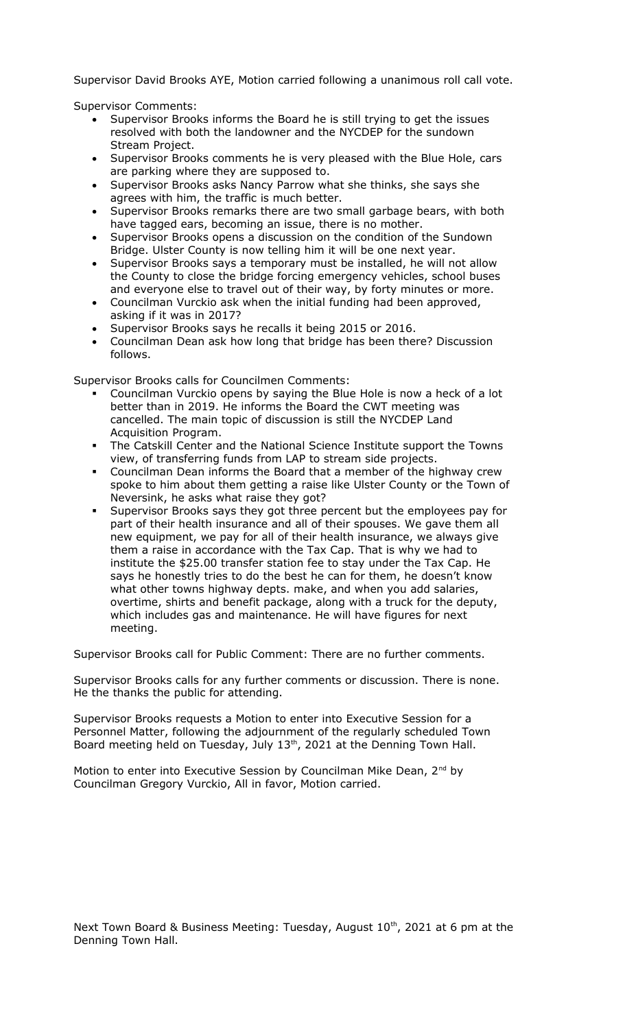Supervisor David Brooks AYE, Motion carried following a unanimous roll call vote.

Supervisor Comments:

- Supervisor Brooks informs the Board he is still trying to get the issues resolved with both the landowner and the NYCDEP for the sundown Stream Project.
- Supervisor Brooks comments he is very pleased with the Blue Hole, cars are parking where they are supposed to.
- Supervisor Brooks asks Nancy Parrow what she thinks, she says she agrees with him, the traffic is much better.
- Supervisor Brooks remarks there are two small garbage bears, with both have tagged ears, becoming an issue, there is no mother.
- Supervisor Brooks opens a discussion on the condition of the Sundown Bridge. Ulster County is now telling him it will be one next year.
- Supervisor Brooks says a temporary must be installed, he will not allow the County to close the bridge forcing emergency vehicles, school buses and everyone else to travel out of their way, by forty minutes or more.
- Councilman Vurckio ask when the initial funding had been approved, asking if it was in 2017?
- Supervisor Brooks says he recalls it being 2015 or 2016.
- Councilman Dean ask how long that bridge has been there? Discussion follows.

Supervisor Brooks calls for Councilmen Comments:

- Councilman Vurckio opens by saying the Blue Hole is now a heck of a lot better than in 2019. He informs the Board the CWT meeting was cancelled. The main topic of discussion is still the NYCDEP Land Acquisition Program.
- The Catskill Center and the National Science Institute support the Towns view, of transferring funds from LAP to stream side projects.
- Councilman Dean informs the Board that a member of the highway crew spoke to him about them getting a raise like Ulster County or the Town of Neversink, he asks what raise they got?
- Supervisor Brooks says they got three percent but the employees pay for part of their health insurance and all of their spouses. We gave them all new equipment, we pay for all of their health insurance, we always give them a raise in accordance with the Tax Cap. That is why we had to institute the \$25.00 transfer station fee to stay under the Tax Cap. He says he honestly tries to do the best he can for them, he doesn't know what other towns highway depts. make, and when you add salaries, overtime, shirts and benefit package, along with a truck for the deputy, which includes gas and maintenance. He will have figures for next meeting.

Supervisor Brooks call for Public Comment: There are no further comments.

Supervisor Brooks calls for any further comments or discussion. There is none. He the thanks the public for attending.

Supervisor Brooks requests a Motion to enter into Executive Session for a Personnel Matter, following the adjournment of the regularly scheduled Town Board meeting held on Tuesday, July 13<sup>th</sup>, 2021 at the Denning Town Hall.

Motion to enter into Executive Session by Councilman Mike Dean, 2<sup>nd</sup> by Councilman Gregory Vurckio, All in favor, Motion carried.

Next Town Board & Business Meeting: Tuesday, August  $10^{th}$ , 2021 at 6 pm at the Denning Town Hall.